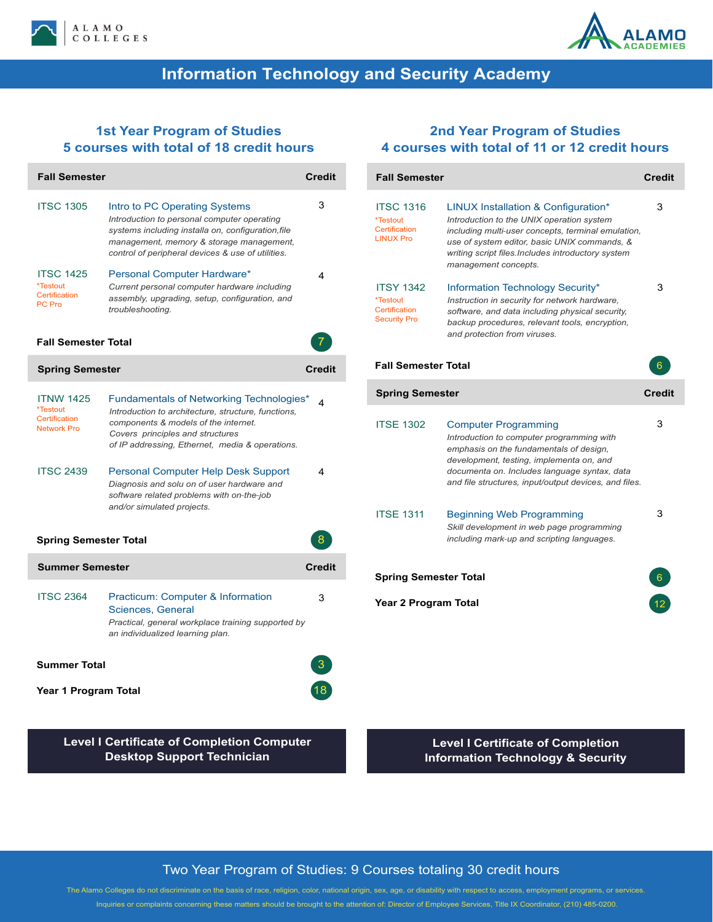



## **Information Technology and Security Academy**

### **1st Year Program of Studies 5 courses with total of 18 credit hours**

| <b>Fall Semester</b>                                                | <b>Credit</b>                                                                                                                                                                                                                       |               |
|---------------------------------------------------------------------|-------------------------------------------------------------------------------------------------------------------------------------------------------------------------------------------------------------------------------------|---------------|
| <b>ITSC 1305</b>                                                    | Intro to PC Operating Systems<br>Introduction to personal computer operating<br>systems including installa on, configuration, file<br>management, memory & storage management,<br>control of peripheral devices & use of utilities. | 3             |
| <b>ITSC 1425</b><br>*Testout<br>Certification<br>PC Pro             | Personal Computer Hardware*<br>Current personal computer hardware including<br>assembly, upgrading, setup, configuration, and<br>troubleshooting.                                                                                   | 4             |
| <b>Fall Semester Total</b>                                          |                                                                                                                                                                                                                                     |               |
| <b>Spring Semester</b>                                              |                                                                                                                                                                                                                                     | <b>Credit</b> |
| <b>ITNW 1425</b><br>*Testout<br>Certification<br><b>Network Pro</b> | Fundamentals of Networking Technologies*<br>Introduction to architecture, structure, functions,<br>components & models of the internet.<br>Covers principles and structures<br>of IP addressing, Ethernet, media & operations.      | 4             |
| <b>ITSC 2439</b>                                                    | <b>Personal Computer Help Desk Support</b><br>Diagnosis and solu on of user hardware and<br>software related problems with on-the-job<br>and/or simulated projects.                                                                 | 4             |
| <b>Spring Semester Total</b>                                        | 8                                                                                                                                                                                                                                   |               |
| <b>Summer Semester</b>                                              |                                                                                                                                                                                                                                     | <b>Credit</b> |
| <b>ITSC 2364</b>                                                    | Practicum: Computer & Information<br><b>Sciences, General</b><br>Practical, general workplace training supported by<br>an individualized learning plan.                                                                             | 3             |
| <b>Summer Total</b>                                                 |                                                                                                                                                                                                                                     |               |
| Year 1 Program Total                                                |                                                                                                                                                                                                                                     |               |

### **2nd Year Program of Studies 4 courses with total of 11 or 12 credit hours**

| <b>Fall Semester</b>                                                 |                                                                                                                                                                                                                                                                          | <b>Credit</b> |  |  |
|----------------------------------------------------------------------|--------------------------------------------------------------------------------------------------------------------------------------------------------------------------------------------------------------------------------------------------------------------------|---------------|--|--|
| <b>ITSC 1316</b><br>*Testout<br>Certification<br><b>LINUX Pro</b>    | LINUX Installation & Configuration*<br>Introduction to the UNIX operation system<br>including multi-user concepts, terminal emulation,<br>use of system editor, basic UNIX commands, &<br>writing script files. Includes introductory system<br>management concepts.     | 3             |  |  |
| <b>ITSY 1342</b><br>*Testout<br>Certification<br><b>Security Pro</b> | Information Technology Security*<br>Instruction in security for network hardware.<br>software, and data including physical security,<br>backup procedures, relevant tools, encryption,<br>and protection from viruses.                                                   | 3             |  |  |
| <b>Fall Semester Total</b>                                           |                                                                                                                                                                                                                                                                          | 6             |  |  |
| <b>Spring Semester</b>                                               |                                                                                                                                                                                                                                                                          | Credit        |  |  |
| <b>ITSE 1302</b>                                                     | <b>Computer Programming</b><br>Introduction to computer programming with<br>emphasis on the fundamentals of design,<br>development, testing, implementa on, and<br>documenta on. Includes language syntax, data<br>and file structures, input/output devices, and files. | 3             |  |  |
| <b>ITSE 1311</b>                                                     | <b>Beginning Web Programming</b><br>Skill development in web page programming<br>including mark-up and scripting languages.                                                                                                                                              | 3             |  |  |
| <b>Spring Semester Total</b>                                         |                                                                                                                                                                                                                                                                          |               |  |  |
| <b>Year 2 Program Total</b>                                          |                                                                                                                                                                                                                                                                          |               |  |  |

**Level I Certificate of Completion Computer Desktop Support Technician**

**Level I Certificate of Completion Information Technology & Security**

#### Two Year Program of Studies: 9 Courses totaling 30 credit hours

The Alamo Colleges do not discriminate on the basis of race, religion, color, national origin, sex, age, or disability with respect to access, employment programs, or services. Inquiries or complaints concerning these matters should be brought to the attention of: Director of Employee Services, Title IX Coordinator, (210) 485-0200.